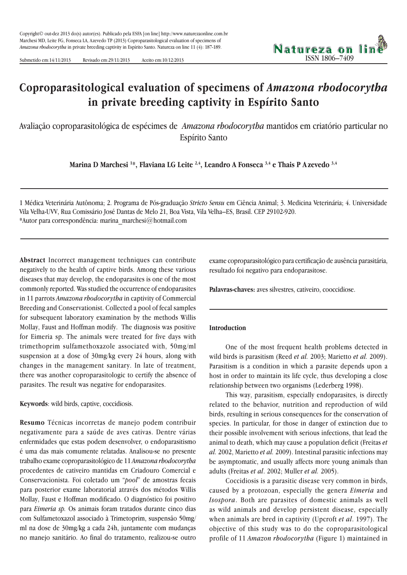Submetido em:14/11/2013 Revisado em:29/11/2013 Aceito em:10/12/2013

# **Coproparasitological evaluation of specimens of** *Amazona rhodocorytha* **in private breeding captivity in Espírito Santo**

Avaliação coproparasitológica de espécimes de *Amazona rhodocorytha* mantidos em criatório particular no Espírito Santo

**Marina D Marchesi 1 \*, Flaviana LG Leite 2,4, Leandro A Fonseca 3,4 e Thais P A zevedo 3,4**

1 Médica Veterinária Autônoma; 2. Programa de Pós-graduação *Stricto Sensu* em Ciência Animal; 3. Medicina Veterinária; 4. Universidade Vila Velha-UVV, Rua Comissário José Dantas de Melo 21, Boa Vista, Vila Velha–ES, Brasil. CEP 29102-920. \*Autor para correspondência: marina\_marchesi@hotmail.com

**Abstract** Incorrect management techniques can contribute negatively to the health of captive birds. Among these various diseases that may develop, the endoparasites is one of the most commonly reported. Was studied the occurrence of endoparasites in 11 parrots *Amazona rhodocorytha* in captivity of Commercial Breeding and Conservationist. Collected a pool of fecal samples for subsequent laboratory examination by the methods Willis Mollay, Faust and Hoffman modify. The diagnosis was positive for Eimeria sp. The animals were treated for five days with trimethoprim sulfamethoxazole associated with, 50mg/ml suspension at a dose of 30mg/kg every 24 hours, along with changes in the management sanitary. In late of treatment, there was another coproparasitologic to certify the absence of parasites. The result was negative for endoparasites.

**Keywords**: wild birds, captive, coccidiosis.

**Resumo** Técnicas incorretas de manejo podem contribuir negativamente para a saúde de aves cativas. Dentre várias enfermidades que estas podem desenvolver, o endoparasitismo é uma das mais comumente relatadas. Analisou-se no presente trabalho exame coproparasitológico de 11 *Amazona rhodocorytha* procedentes de cativeiro mantidas em Criadouro Comercial e Conservacionista. Foi coletado um "*pool*" de amostras fecais para posterior exame laboratorial através dos métodos Willis Mollay, Faust e Hoffman modificado. O diagnóstico foi positivo para *Eimeria sp.* Os animais foram tratados durante cinco dias com Sulfametoxazol associado à Trimetoprim, suspensão 50mg/ ml na dose de 30mg/kg a cada 24h, juntamente com mudanças no manejo sanitário. Ao final do tratamento, realizou-se outro

exame coproparasitológico para certificação de ausência parasitária, resultado foi negativo para endoparasitose.

ISSN 1806–7409

Natureza on lin

**Palavras-chaves:** aves silvestres, cativeiro, cooccidiose.

#### **Introduction**

One of the most frequent health problems detected in wild birds is parasitism (Reed *et al.* 2003; Marietto *et al.* 2009). Parasitism is a condition in which a parasite depends upon a host in order to maintain its life cycle, thus developing a close relationship between two organisms (Lederberg 1998).

This way, parasitism, especially endoparasites, is directly related to the behavior, nutrition and reproduction of wild birds, resulting in serious consequences for the conservation of species. In particular, for those in danger of extinction due to their possible involvement with serious infections, that lead the animal to death, which may cause a population deficit (Freitas *et al.* 2002, Marietto *et al.* 2009). Intestinal parasitic infections may be asymptomatic, and usually affects more young animals than adults (Freitas *et al*. 2002; Muller *et al.* 2005).

Coccidiosis is a parasitic disease very common in birds, caused by a protozoan, especially the genera *Eimeria* and *Isospora*. Both are parasites of domestic animals as well as wild animals and develop persistent disease, especially when animals are bred in captivity (Upcroft *et al*. 1997). The objective of this study was to do the coproparasitological profile of 11 *Amazon rhodocorytha* (Figure 1) maintained in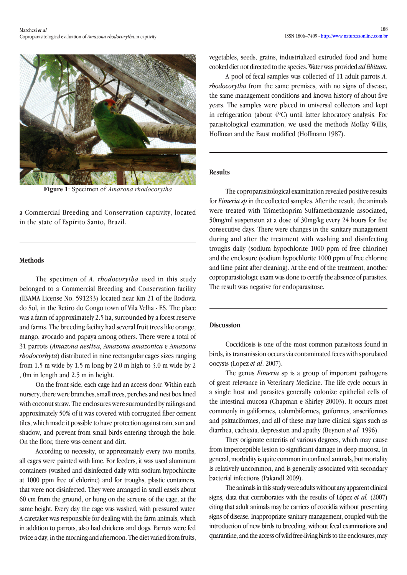

**Figure 1**: Specimen of *Amazona rhodocorytha*

a Commercial Breeding and Conservation captivity, located in the state of Espírito Santo, Brazil.

# **Methods**

The specimen of *A. rhodocorytha* used in this study belonged to a Commercial Breeding and Conservation facility (IBAMA License No. 591233) located near Km 21 of the Rodovia do Sol, in the Retiro do Congo town of Vila Velha - ES. The place was a farm of approximately 2.5 ha, surrounded by a forest reserve and farms. The breeding facility had several fruit trees like orange, mango, avocado and papaya among others. There were a total of 31 parrots (*Amazona aestiva, Amazona amazonica* e *Amazona rhodocorhyta*) distributed in nine rectangular cages sizes ranging from 1.5 m wide by 1.5 m long by 2.0 m high to 3.0 m wide by 2 , 0m in length and 2.5 m in height.

On the front side, each cage had an access door. Within each nursery, there were branches, small trees, perches and nest box lined with coconut straw. The enclosures were surrounded by railings and approximately 50% of it was covered with corrugated fiber cement tiles, which made it possible to have protection against rain, sun and shadow, and prevent from small birds entering through the hole. On the floor, there was cement and dirt.

According to necessity, or approximately every two months, all cages were painted with lime. For feeders, it was used aluminum containers (washed and disinfected daily with sodium hypochlorite at 1000 ppm free of chlorine) and for troughs, plastic containers, that were not disinfected. They were arranged in small easels about 60 cm from the ground, or hung on the screens of the cage, at the same height. Every day the cage was washed, with pressured water. A caretaker was responsible for dealing with the farm animals, which in addition to parrots, also had chickens and dogs. Parrots were fed twice a day, in the morning and afternoon. The diet varied from fruits, vegetables, seeds, grains, industrialized extruded food and home cooked diet not directed to the species. Water was provided *ad libitum*.

A pool of fecal samples was collected of 11 adult parrots *A. rhodocorytha* from the same premises, with no signs of disease, the same management conditions and known history of about five years. The samples were placed in universal collectors and kept in refrigeration (about 4ºC) until latter laboratory analysis. For parasitological examination, we used the methods Mollay Willis, Hoffman and the Faust modified (Hoffmann 1987).

### **Results**

The coproparasitological examination revealed positive results for *Eimeria sp* in the collected samples. After the result, the animals were treated with Trimethoprim Sulfamethoxazole associated, 50mg/ml suspension at a dose of 30mg/kg every 24 hours for five consecutive days. There were changes in the sanitary management during and after the treatment with washing and disinfecting troughs daily (sodium hypochlorite 1000 ppm of free chlorine) and the enclosure (sodium hypochlorite 1000 ppm of free chlorine and lime paint after cleaning). At the end of the treatment, another coproparasitologic exam was done to certify the absence of parasites. The result was negative for endoparasitose.

# **Discussion**

Coccidiosis is one of the most common parasitosis found in birds, its transmission occurs via contaminated feces with sporulated oocysts (Lopez *et al*. 2007).

The genus *Eimeria* sp is a group of important pathogens of great relevance in Veterinary Medicine. The life cycle occurs in a single host and parasites generally colonize epithelial cells of the intestinal mucosa (Chapman e Shirley 20003). It occurs most commonly in galiformes, columbiformes, guiformes, anseriformes and psittaciformes, and all of these may have clinical signs such as diarrhea, cachexia, depression and apathy (Beynon *et al.* 1996).

They originate enteritis of various degrees, which may cause from imperceptible lesion to significant damage in deep mucosa. In general, morbidity is quite common in confined animals, but mortality is relatively uncommon, and is generally associated with secondary bacterial infections (Pakandl 2009).

The animals in this study were adults without any apparent clinical signs, data that corroborates with the results of López *et al.* (2007) citing that adult animals may be carriers of coccidia without presenting signs of disease. Inappropriate sanitary management, coupled with the introduction of new birds to breeding, without fecal examinations and quarantine, and the access of wild free-living birds to the enclosures, may